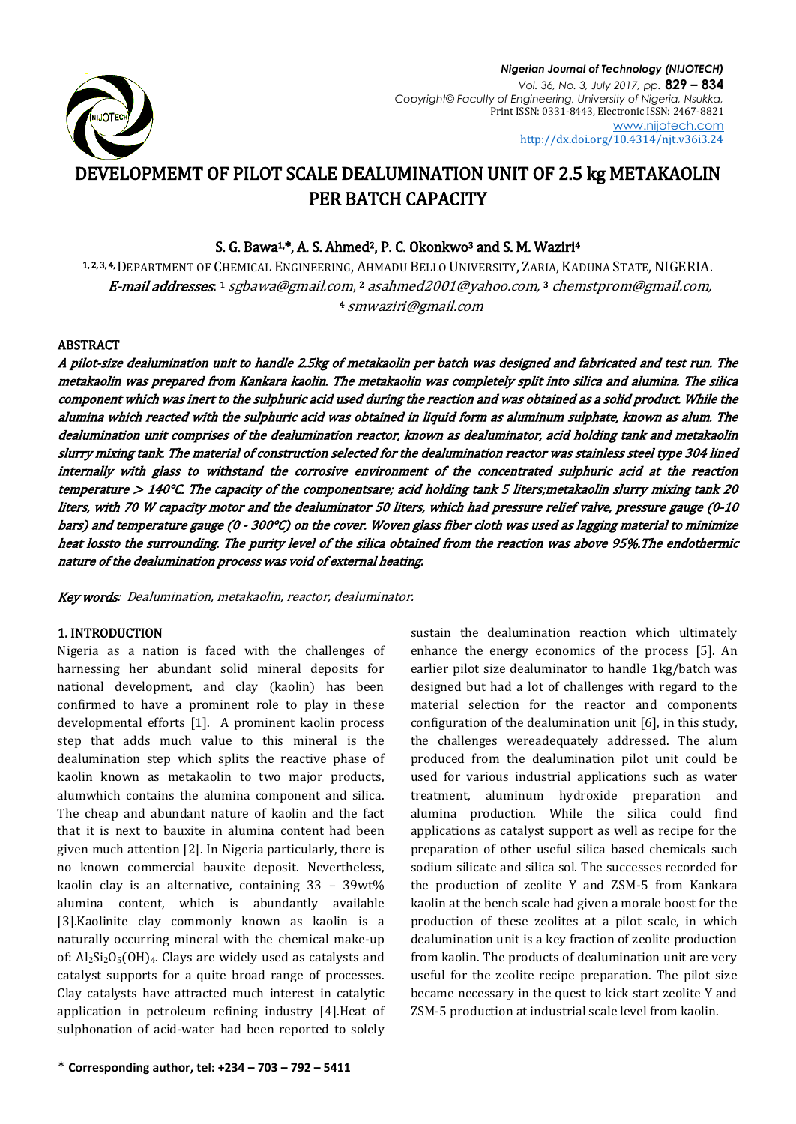

# DEVELOPMEMT OF PILOT SCALE DEALUMINATION UNIT OF 2.5 kg METAKAOLIN PER BATCH CAPACITY

# S. G. Bawa<sup>1,\*</sup>, A. S. Ahmed<sup>2</sup>, P. C. Okonkwo<sup>3</sup> and S. M. Waziri<sup>4</sup>

1, 2, 3, 4, DEPARTMENT OF CHEMICAL ENGINEERING, AHMADU BELLO UNIVERSITY, ZARIA, KADUNA STATE, NIGERIA. **E-mail addresses**: 1 [sgbawa@gmail.com](mailto:sgbawa@gmail.com), 2 asahmed2001@yahoo.com, 3 [chemstprom@gmail.com,](mailto:chemstprom@gmail.com) <sup>4</sup> [smwaziri@gmail.com](mailto:smwaziri@gmail.com)

# ABSTRACT

A pilot-size dealumination unit to handle 2.5kg of metakaolin per batch was designed and fabricated and test run. The metakaolin was prepared from Kankara kaolin. The metakaolin was completely split into silica and alumina. The silica component which was inert to the sulphuric acid used during the reaction and was obtained as a solid product. While the alumina which reacted with the sulphuric acid was obtained in liquid form as aluminum sulphate, known as alum. The dealumination unit comprises of the dealumination reactor, known as dealuminator, acid holding tank and metakaolin slurry mixing tank. The material of construction selected for the dealumination reactor was stainless steel type 304 lined internally with glass to withstand the corrosive environment of the concentrated sulphuric acid at the reaction temperature > 140°C. The capacity of the componentsare; acid holding tank 5 liters;metakaolin slurry mixing tank 20 liters, with 70 W capacity motor and the dealuminator 50 liters, which had pressure relief valve, pressure gauge (0-10 bars) and temperature gauge (0 - 300°C) on the cover. Woven glass fiber cloth was used as lagging material to minimize heat lossto the surrounding. The purity level of the silica obtained from the reaction was above 95%.The endothermic nature of the dealumination process was void of external heating.

Key words: Dealumination, metakaolin, reactor, dealuminator.

# 1. INTRODUCTION

Nigeria as a nation is faced with the challenges of harnessing her abundant solid mineral deposits for national development, and clay (kaolin) has been confirmed to have a prominent role to play in these developmental efforts [1]. A prominent kaolin process step that adds much value to this mineral is the dealumination step which splits the reactive phase of kaolin known as metakaolin to two major products, alumwhich contains the alumina component and silica. The cheap and abundant nature of kaolin and the fact that it is next to bauxite in alumina content had been given much attention [2]. In Nigeria particularly, there is no known commercial bauxite deposit. Nevertheless, kaolin clay is an alternative, containing 33 – 39wt% alumina content, which is abundantly available [3].Kaolinite clay commonly known as kaolin is a naturally occurring mineral with the chemical make-up of:  $Al_2Si_2O_5(OH)_4$ . Clays are widely used as catalysts and catalyst supports for a quite broad range of processes. Clay catalysts have attracted much interest in catalytic application in petroleum refining industry [4].Heat of sulphonation of acid-water had been reported to solely sustain the dealumination reaction which ultimately enhance the energy economics of the process [5]. An earlier pilot size dealuminator to handle 1kg/batch was designed but had a lot of challenges with regard to the material selection for the reactor and components configuration of the dealumination unit [6], in this study, the challenges wereadequately addressed. The alum produced from the dealumination pilot unit could be used for various industrial applications such as water treatment, aluminum hydroxide preparation and alumina production. While the silica could find applications as catalyst support as well as recipe for the preparation of other useful silica based chemicals such sodium silicate and silica sol. The successes recorded for the production of zeolite Y and ZSM-5 from Kankara kaolin at the bench scale had given a morale boost for the production of these zeolites at a pilot scale, in which dealumination unit is a key fraction of zeolite production from kaolin. The products of dealumination unit are very useful for the zeolite recipe preparation. The pilot size became necessary in the quest to kick start zeolite Y and ZSM-5 production at industrial scale level from kaolin.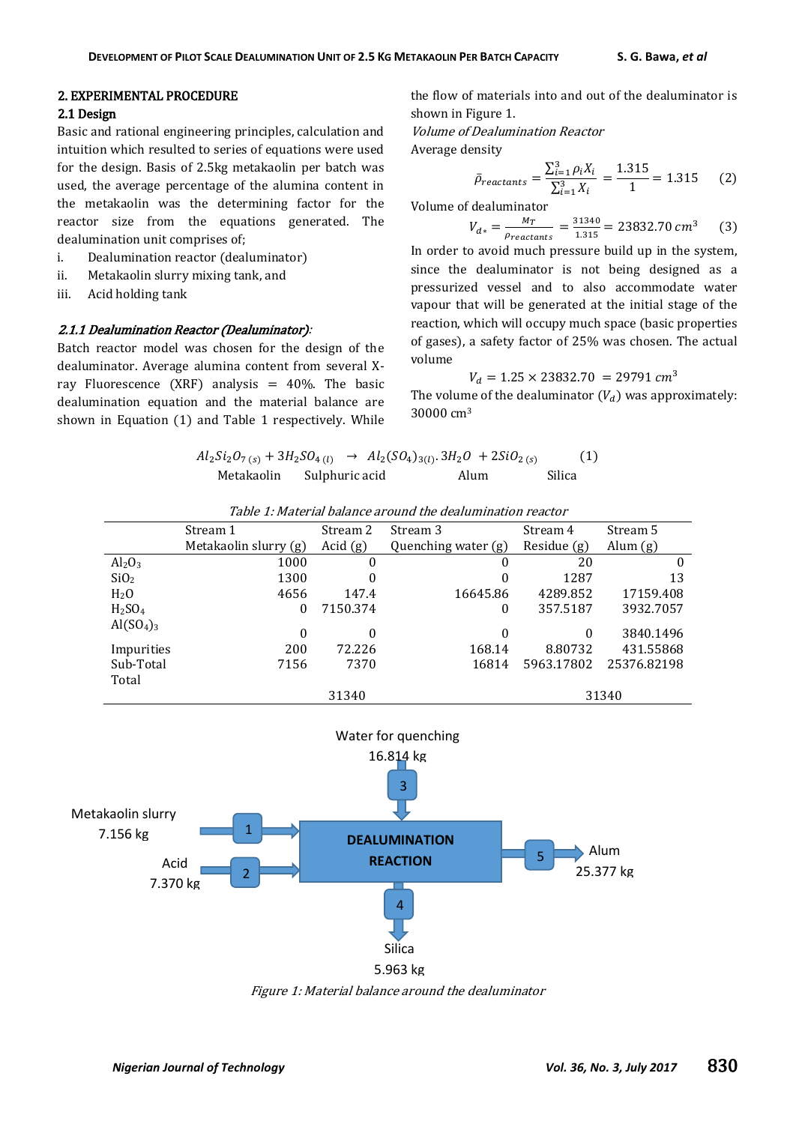# 2. EXPERIMENTAL PROCEDURE

# 2.1 Design

Basic and rational engineering principles, calculation and intuition which resulted to series of equations were used for the design. Basis of 2.5kg metakaolin per batch was used, the average percentage of the alumina content in the metakaolin was the determining factor for the reactor size from the equations generated. The dealumination unit comprises of;

- i. Dealumination reactor (dealuminator)
- ii. Metakaolin slurry mixing tank, and
- iii. Acid holding tank

#### 2.1.1 Dealumination Reactor (Dealuminator):

Batch reactor model was chosen for the design of the dealuminator. Average alumina content from several Xray Fluorescence (XRF) analysis =  $40\%$ . The basic dealumination equation and the material balance are shown in Equation (1) and Table 1 respectively. While the flow of materials into and out of the dealuminator is shown in Figure 1.

Volume of Dealumination Reactor

Average density

$$
\bar{\rho}_{reactants} = \frac{\sum_{i=1}^{3} \rho_i X_i}{\sum_{i=1}^{3} X_i} = \frac{1.315}{1} = 1.315 \tag{2}
$$

Volume of dealuminator

$$
V_{d*} = \frac{M_T}{\rho_{reactants}} = \frac{31340}{1.315} = 23832.70 \text{ cm}^3 \tag{3}
$$

In order to avoid much pressure build up in the system, since the dealuminator is not being designed as a pressurized vessel and to also accommodate water vapour that will be generated at the initial stage of the reaction, which will occupy much space (basic properties of gases), a safety factor of 25% was chosen. The actual volume

$$
V_d = 1.25 \times 23832.70 = 29791 \, \text{cm}^3
$$

The volume of the dealuminator  $(V_d)$  was approximately: 30000 cm<sup>3</sup>

$$
Al_2Si_2O_{7(s)} + 3H_2SO_{4(l)} \rightarrow Al_2(SO_{4})_{3(l)}.3H_2O + 2SiO_{2(s)}
$$
 (1)  
Metakaolin Sulphuric acid Alum Silica

|                                   | Stream 1              | Stream 2 | Stream 3            | Stream 4      | Stream 5    |
|-----------------------------------|-----------------------|----------|---------------------|---------------|-------------|
|                                   | Metakaolin slurry (g) | Acid(g)  | Quenching water (g) | Residue $(g)$ | Alum $(g)$  |
| Al <sub>2</sub> O <sub>3</sub>    | 1000                  | 0        | $^{(1)}$            | 20            | 0           |
| SiO <sub>2</sub>                  | 1300                  | 0        | $\theta$            | 1287          | 13          |
| H <sub>2</sub> O                  | 4656                  | 147.4    | 16645.86            | 4289.852      | 17159.408   |
| H <sub>2</sub> SO <sub>4</sub>    | 0                     | 7150.374 | $\theta$            | 357.5187      | 3932.7057   |
| Al(SO <sub>4</sub> ) <sub>3</sub> | $\Omega$              | 0        | $\Omega$            | 0             | 3840.1496   |
| Impurities                        | 200                   | 72.226   | 168.14              | 8.80732       | 431.55868   |
| Sub-Total                         | 7156                  | 7370     | 16814               | 5963.17802    | 25376.82198 |
| Total                             |                       |          |                     |               |             |
|                                   |                       | 31340    |                     |               | 31340       |

Table 1: Material balance around the dealumination reactor



Figure 1: Material balance around the dealuminator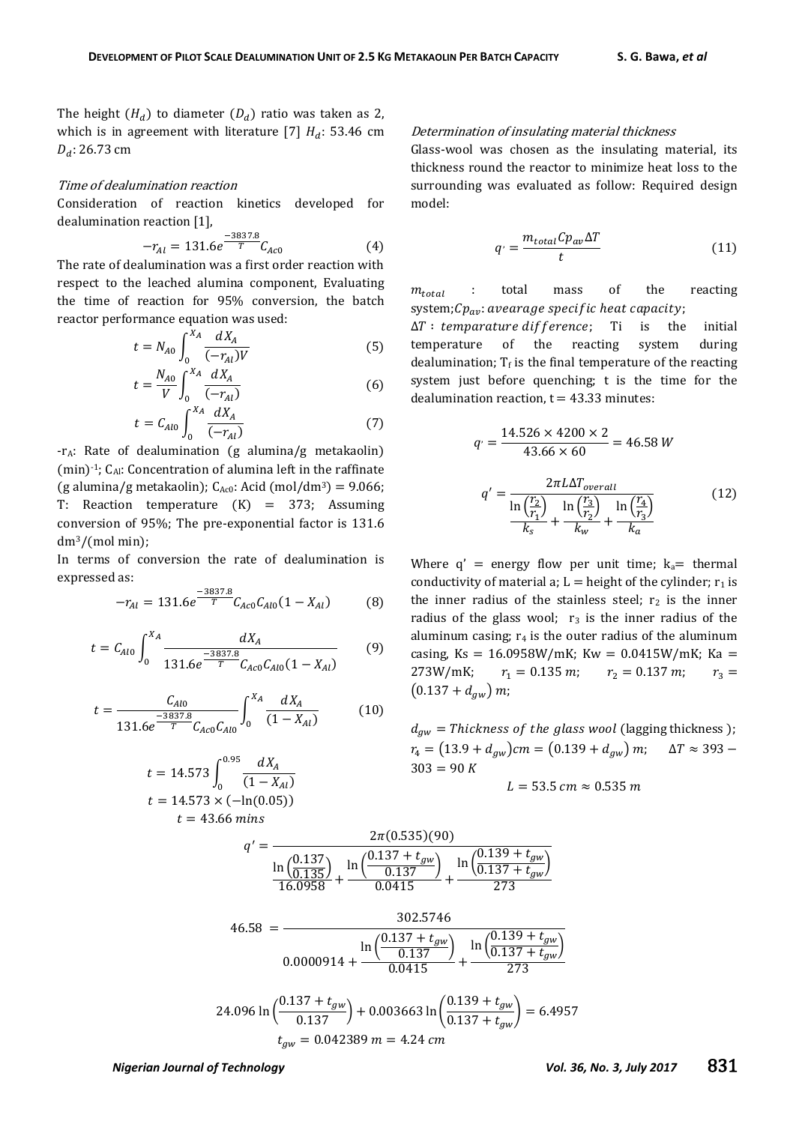The height  $(H_d)$  to diameter  $(D_d)$  ratio was taken as 2, which is in agreement with literature [7]  $H_d$ : 53.46 cm  $D_d$ : 26.73 cm

#### Time of dealumination reaction

Consideration of reaction kinetics developed for dealumination reaction [1],

$$
-r_{Al} = 131.6e^{\frac{-3837.8}{T}}C_{Ac0}
$$
 (4)

The rate of dealumination was a first order reaction with respect to the leached alumina component, Evaluating the time of reaction for 95% conversion, the batch reactor performance equation was used:

$$
t = N_{A0} \int_0^{X_A} \frac{dX_A}{(-r_{A1})V}
$$
 (5)

$$
t = \frac{N_{A0}}{V} \int_{0}^{X_A} \frac{dX_A}{(-r_{Al})}
$$
 (6)

$$
t = C_{Al0} \int_0^{X_A} \frac{dX_A}{(-r_{Al})} \tag{7}
$$

-rA: Rate of dealumination (g alumina/g metakaolin) (min) $-1$ ; C<sub>Al</sub>: Concentration of alumina left in the raffinate (g alumina/g metakaolin);  $C_{Ac0}$ : Acid (mol/dm<sup>3</sup>) = 9.066; T: Reaction temperature  $(K) = 373$ ; Assuming conversion of 95%; The pre-exponential factor is 131.6 dm3/(mol min);

In terms of conversion the rate of dealumination is expressed as:

$$
-r_{Al} = 131.6e^{\frac{-3837.8}{T}}C_{Aco}C_{Al0}(1 - X_{Al})
$$
 (8)

$$
t = C_{Al0} \int_0^{X_A} \frac{dX_A}{131.6e^{-\frac{3837.8}{T}} C_{Ac0} C_{Al0} (1 - X_{Al})}
$$
(9)

$$
t = \frac{C_{Al0}}{131.6e^{\frac{-3837.8}{T}}C_{Ac0}C_{Al0}} \int_{0}^{X_A} \frac{dX_A}{(1 - X_{Al})} \tag{10}
$$

$$
t = 14.573 \int_0^{0.95} \frac{dX_A}{(1 - X_{Al})}
$$

$$
t = 14.573 \times (-\ln(0.05))
$$

$$
t = 43.66 \text{ mins}
$$

#### Determination of insulating material thickness

Glass-wool was chosen as the insulating material, its thickness round the reactor to minimize heat loss to the surrounding was evaluated as follow: Required design model:

$$
q' = \frac{m_{total}Cp_{av}\Delta T}{t}
$$
 (11)

 $m_{total}$  : total mass of the reacting system; $Cp_{av}$ : avearage specific heat capacity;

 $\Delta T$ : temparature difference; Ti is the initial temperature of the reacting system during dealumination;  $T_f$  is the final temperature of the reacting system just before quenching; t is the time for the dealumination reaction,  $t = 43.33$  minutes:

$$
q' = \frac{14.526 \times 4200 \times 2}{43.66 \times 60} = 46.58 W
$$
  

$$
q' = \frac{2\pi L\Delta T_{overall}}{\ln\left(\frac{r_2}{r_1}\right)} \ln\left(\frac{r_3}{r_2}\right)}{\frac{\ln\left(\frac{r_2}{r_1}\right)}{k_s} + \frac{\ln\left(\frac{r_3}{r_2}\right)}{k_w} + \frac{\ln\left(\frac{r_4}{r_3}\right)}{k_a}}
$$
(12)

Where  $q' =$  energy flow per unit time;  $k_a=$  thermal conductivity of material a;  $L =$  height of the cylinder;  $r_1$  is the inner radius of the stainless steel;  $r_2$  is the inner radius of the glass wool;  $r_3$  is the inner radius of the aluminum casing;  $r_4$  is the outer radius of the aluminum casing, Ks =  $16.0958W/mK$ ; Kw = 0.0415W/mK; Ka = 273W/mK;  $r_1 = 0.135$  m;  $r_2 = 0.137$  m;  $r_3 =$  $(0.137 + d_{aw}) m;$ 

 $d_{aw}$  = Thickness of the glass wool (lagging thickness);  $r_4 = (13.9 + d_{gw})$ cm =  $(0.139 + d_{gw})$ m;  $\Delta T \approx 393$  –  $303 = 90 K$ 

$$
L=53.5\;cm\approx 0.535\;m
$$

$$
q' = \frac{2\pi (0.535)(90)}{\ln\left(\frac{0.137}{0.135}\right)} + \frac{\ln\left(\frac{0.137 + t_{gw}}{0.137}\right)}{16.0958} + \frac{\ln\left(\frac{0.137 + t_{gw}}{0.137}\right)}{0.0415} + \frac{\ln\left(\frac{0.139 + t_{gw}}{0.137 + t_{gw}}\right)}{273}
$$
\n
$$
46.58 = \frac{302.5746}{0.0000914 + \frac{\ln\left(\frac{0.137 + t_{gw}}{0.137}\right)}{0.0415} + \frac{\ln\left(\frac{0.139 + t_{gw}}{0.137 + t_{gw}}\right)}{273}
$$
\n
$$
24.096 \ln\left(\frac{0.137 + t_{gw}}{0.137}\right) + 0.003663 \ln\left(\frac{0.139 + t_{gw}}{0.137 + t_{gw}}\right) = 6.4957
$$
\n
$$
t_{gw} = 0.042389 \, m = 4.24 \, cm
$$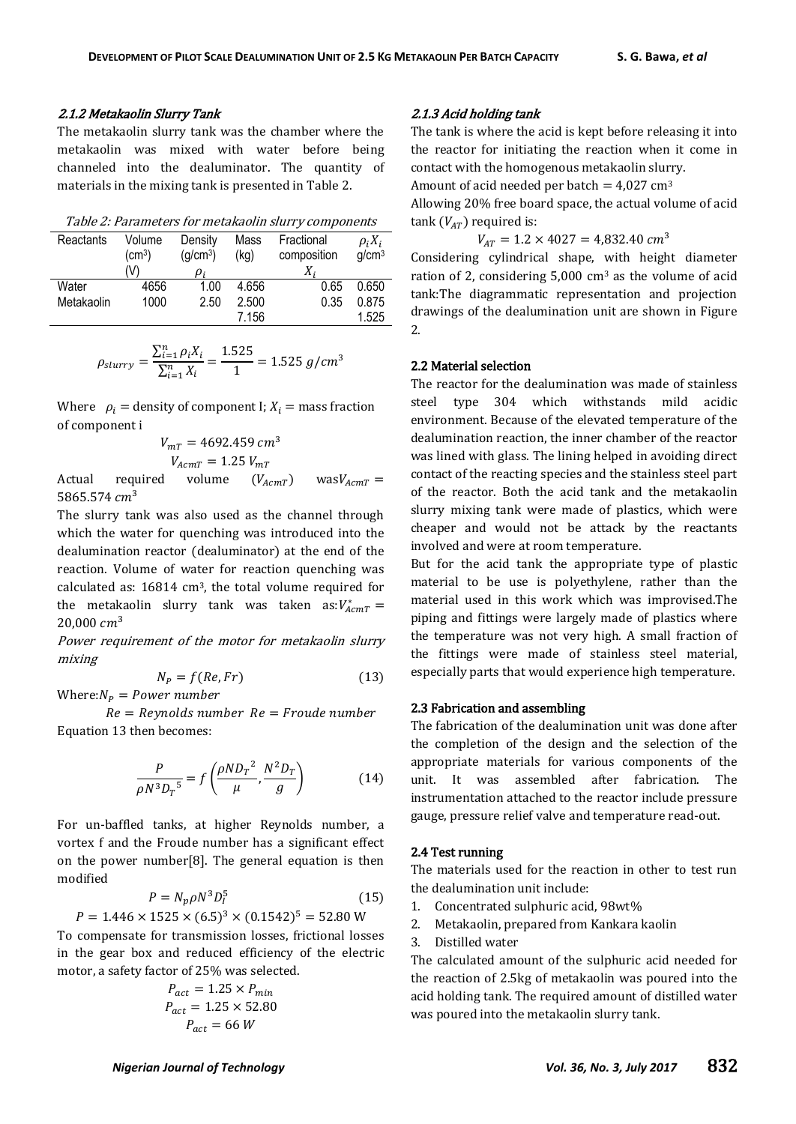## 2.1.2 Metakaolin Slurry Tank

The metakaolin slurry tank was the chamber where the metakaolin was mixed with water before being channeled into the dealuminator. The quantity of materials in the mixing tank is presented in Table 2.

|  |  | Table 2: Parameters for metakaolin slurry components |  |  |  |  |  |  |  |  |
|--|--|------------------------------------------------------|--|--|--|--|--|--|--|--|
|--|--|------------------------------------------------------|--|--|--|--|--|--|--|--|

| Reactants<br>Volume<br>$\text{(cm}^3\text{)}$ |      | Mass<br>Density<br>(q/cm <sup>3</sup> )<br>(kg) |       | Fractional<br>composition | $\rho_i X_i$<br>q/cm <sup>3</sup> |
|-----------------------------------------------|------|-------------------------------------------------|-------|---------------------------|-----------------------------------|
|                                               | (V)  | Di                                              |       | $X_i$                     |                                   |
| Water                                         | 4656 | 1.00                                            | 4.656 | 0.65                      | 0.650                             |
| Metakaolin                                    | 1000 | 2.50                                            | 2.500 | 0.35                      | 0.875                             |
|                                               |      |                                                 | 7.156 |                           | 1.525                             |

$$
\rho_{slurry} = \frac{\sum_{i=1}^{n} \rho_i X_i}{\sum_{i=1}^{n} X_i} = \frac{1.525}{1} = 1.525 \ g/cm^3
$$

Where  $\rho_i$  = density of component I;  $X_i$  = mass fraction of component i

$$
V_{mT} = 4692.459 \, \text{cm}^3
$$
\n
$$
V_{AcmT} = 1.25 \, V_{mT}
$$

Actual required volume  $(V_{AcmT})$  was $V_{AcmT}$  = 5865.574  $cm<sup>3</sup>$ 

The slurry tank was also used as the channel through which the water for quenching was introduced into the dealumination reactor (dealuminator) at the end of the reaction. Volume of water for reaction quenching was calculated as: 16814 cm3, the total volume required for the metakaolin slurry tank was taken as: $V_{A}^*$  $20.000 cm<sup>3</sup>$ 

Power requirement of the motor for metakaolin slurry mixing

$$
N_P = f(Re, Fr)
$$
\n(13)

Where: $N_p = Power$  number

 $Re = Reynolds number$   $Re = Froude number$ Equation 13 then becomes:

$$
\frac{P}{\rho N^3 D_T^5} = f\left(\frac{\rho N D_T^2}{\mu}, \frac{N^2 D_T}{g}\right) \tag{14}
$$

For un-baffled tanks, at higher Reynolds number, a vortex f and the Froude number has a significant effect on the power number[8]. The general equation is then modified

$$
P = N_p \rho N^3 D_I^5 \tag{15}
$$

 $P = 1.446 \times 1525 \times (6.5)^3 \times (0.1542)^5$ 

To compensate for transmission losses, frictional losses in the gear box and reduced efficiency of the electric motor, a safety factor of 25% was selected.

$$
P_{act} = 1.25 \times P_{min}
$$
  

$$
P_{act} = 1.25 \times 52.80
$$
  

$$
P_{act} = 66 W
$$

# 2.1.3 Acid holding tank

The tank is where the acid is kept before releasing it into the reactor for initiating the reaction when it come in contact with the homogenous metakaolin slurry.

Amount of acid needed per batch  $= 4.027$  cm<sup>3</sup>

Allowing 20% free board space, the actual volume of acid tank  $(V_{AT})$  required is:

 $V_{AT} = 1.2 \times 4027 = 4.832.40 \text{ cm}^3$ 

Considering cylindrical shape, with height diameter ration of 2, considering  $5,000 \text{ cm}^3$  as the volume of acid tank:The diagrammatic representation and projection drawings of the dealumination unit are shown in Figure 2.

### 2.2 Material selection

The reactor for the dealumination was made of stainless steel type 304 which withstands mild acidic environment. Because of the elevated temperature of the dealumination reaction, the inner chamber of the reactor was lined with glass. The lining helped in avoiding direct contact of the reacting species and the stainless steel part of the reactor. Both the acid tank and the metakaolin slurry mixing tank were made of plastics, which were cheaper and would not be attack by the reactants involved and were at room temperature.

But for the acid tank the appropriate type of plastic material to be use is polyethylene, rather than the material used in this work which was improvised.The piping and fittings were largely made of plastics where the temperature was not very high. A small fraction of the fittings were made of stainless steel material, especially parts that would experience high temperature.

#### 2.3 Fabrication and assembling

The fabrication of the dealumination unit was done after the completion of the design and the selection of the appropriate materials for various components of the unit. It was assembled after fabrication. The instrumentation attached to the reactor include pressure gauge, pressure relief valve and temperature read-out.

## 2.4 Test running

The materials used for the reaction in other to test run the dealumination unit include:

- 1. Concentrated sulphuric acid, 98wt%
- 2. Metakaolin, prepared from Kankara kaolin
- 3. Distilled water

The calculated amount of the sulphuric acid needed for the reaction of 2.5kg of metakaolin was poured into the acid holding tank. The required amount of distilled water was poured into the metakaolin slurry tank.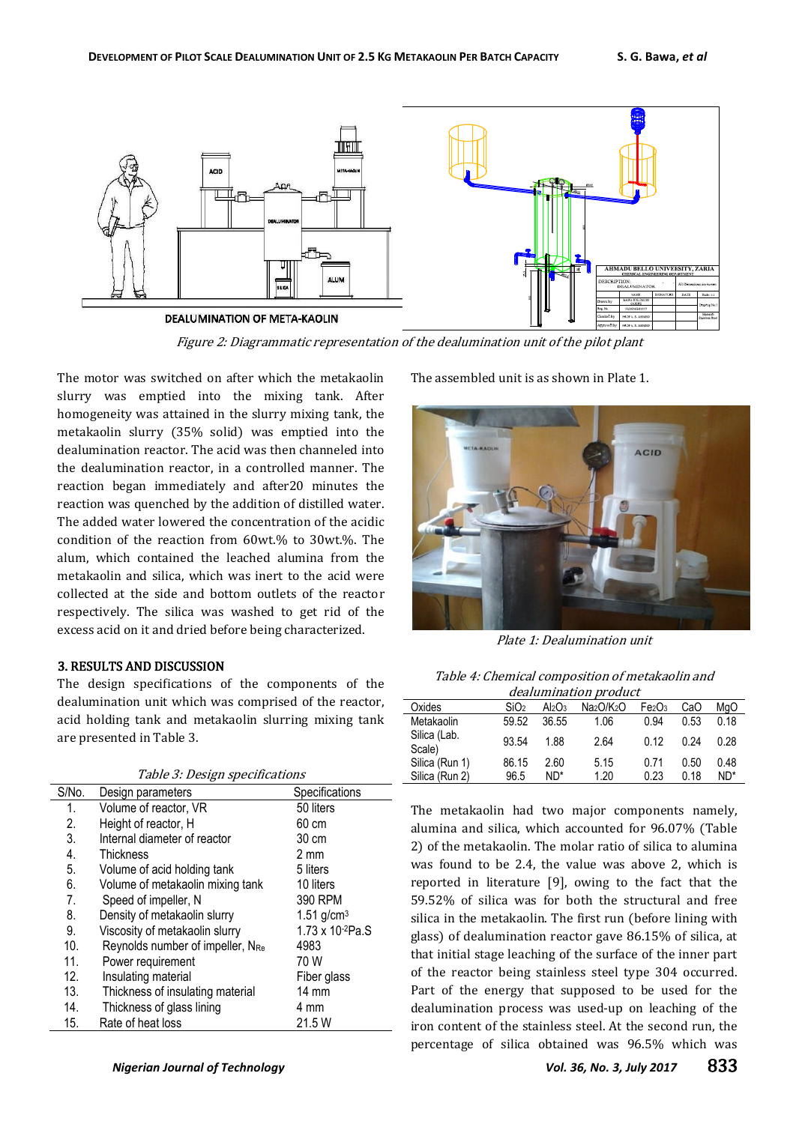

Figure 2: Diagrammatic representation of the dealumination unit of the pilot plant

The motor was switched on after which the metakaolin slurry was emptied into the mixing tank. After homogeneity was attained in the slurry mixing tank, the metakaolin slurry (35% solid) was emptied into the dealumination reactor. The acid was then channeled into the dealumination reactor, in a controlled manner. The reaction began immediately and after20 minutes the reaction was quenched by the addition of distilled water. The added water lowered the concentration of the acidic condition of the reaction from 60wt.% to 30wt.%. The alum, which contained the leached alumina from the metakaolin and silica, which was inert to the acid were collected at the side and bottom outlets of the reactor respectively. The silica was washed to get rid of the excess acid on it and dried before being characterized.

# 3. RESULTS AND DISCUSSION

The design specifications of the components of the dealumination unit which was comprised of the reactor, acid holding tank and metakaolin slurring mixing tank are presented in Table 3.

| Table 3: Design specifications |  |  |  |  |  |  |  |  |
|--------------------------------|--|--|--|--|--|--|--|--|
|--------------------------------|--|--|--|--|--|--|--|--|

| S/No.           | Design parameters                | Specifications           |
|-----------------|----------------------------------|--------------------------|
| 1.              | Volume of reactor, VR            | 50 liters                |
| 2.              | Height of reactor, H             | 60 cm                    |
| 3.              | Internal diameter of reactor     | 30 cm                    |
| 4.              | <b>Thickness</b>                 | 2 mm                     |
| 5.              | Volume of acid holding tank      | 5 liters                 |
| 6.              | Volume of metakaolin mixing tank | 10 liters                |
| 7.              | Speed of impeller, N             | 390 RPM                  |
| 8.              | Density of metakaolin slurry     | $1.51$ g/cm <sup>3</sup> |
| 9.              | Viscosity of metakaolin slurry   | 1.73 x 10-2Pa.S          |
| 10 <sub>1</sub> | Reynolds number of impeller, NRe | 4983                     |
| 11.             | Power requirement                | 70 W                     |
| 12.             | Insulating material              | Fiber glass              |
| 13.             | Thickness of insulating material | $14 \text{ mm}$          |
| 14.             | Thickness of glass lining        | 4 mm                     |
| 15.             | Rate of heat loss                | 21.5 W                   |

The assembled unit is as shown in Plate 1.



Plate 1: Dealumination unit

Table 4: Chemical composition of metakaolin and

| <i>dealumination product</i> |                  |           |                                    |                                |      |        |  |  |
|------------------------------|------------------|-----------|------------------------------------|--------------------------------|------|--------|--|--|
| Oxides                       | SiO <sub>2</sub> | $Al_2O_3$ | Na <sub>2</sub> O/K <sub>2</sub> O | Fe <sub>2</sub> O <sub>3</sub> | CaO  | MqO    |  |  |
| Metakaolin                   | 59.52            | 36.55     | 1.06                               | 0.94                           | 0.53 | 0.18   |  |  |
| Silica (Lab.<br>Scale)       | 93.54            | 1.88      | 2.64                               | 0.12                           | 0.24 | 0.28   |  |  |
| Silica (Run 1)               | 86.15            | 2.60      | 5.15                               | 0.71                           | 0.50 | 0.48   |  |  |
| Silica (Run 2)               | 96.5             | ND*       | 1.20                               | 0.23                           | 0.18 | $ND^*$ |  |  |

The metakaolin had two major components namely, alumina and silica, which accounted for 96.07% (Table 2) of the metakaolin. The molar ratio of silica to alumina was found to be 2.4, the value was above 2, which is reported in literature [9], owing to the fact that the 59.52% of silica was for both the structural and free silica in the metakaolin. The first run (before lining with glass) of dealumination reactor gave 86.15% of silica, at that initial stage leaching of the surface of the inner part of the reactor being stainless steel type 304 occurred. Part of the energy that supposed to be used for the dealumination process was used-up on leaching of the iron content of the stainless steel. At the second run, the percentage of silica obtained was 96.5% which was